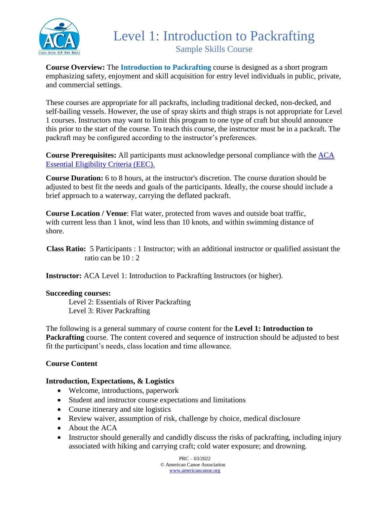

## Level 1: Introduction to Packrafting Sample Skills Course

**Course Overview:** The **Introduction to Packrafting** course is designed as a short program emphasizing safety, enjoyment and skill acquisition for entry level individuals in public, private, and commercial settings.

These courses are appropriate for all packrafts, including traditional decked, non-decked, and self-bailing vessels. However, the use of spray skirts and thigh straps is not appropriate for Level 1 courses. Instructors may want to limit this program to one type of craft but should announce this prior to the start of the course. To teach this course, the instructor must be in a packraft. The packraft may be configured according to the instructor's preferences.

**Course Prerequisites:** All participants must acknowledge personal compliance with the [ACA](https://americancanoe.org/essential-eligibility-criteria/)  [Essential Eligibility Criteria \(EEC\).](https://americancanoe.org/essential-eligibility-criteria/)

**Course Duration:** 6 to 8 hours, at the instructor's discretion. The course duration should be adjusted to best fit the needs and goals of the participants. Ideally, the course should include a brief approach to a waterway, carrying the deflated packraft.

**Course Location / Venue**: Flat water, protected from waves and outside boat traffic, with current less than 1 knot, wind less than 10 knots, and within swimming distance of shore.

 **Class Ratio:** 5 Participants : 1 Instructor; with an additional instructor or qualified assistant the ratio can be 10 : 2

**Instructor:** ACA Level 1: Introduction to Packrafting Instructors (or higher).

#### **Succeeding courses:**

Level 2: Essentials of River Packrafting Level 3: River Packrafting

The following is a general summary of course content for the **Level 1: Introduction to Packrafting** course. The content covered and sequence of instruction should be adjusted to best fit the participant's needs, class location and time allowance.

#### **Course Content**

#### **Introduction, Expectations, & Logistics**

- Welcome, introductions, paperwork
- Student and instructor course expectations and limitations
- Course itinerary and site logistics
- Review waiver, assumption of risk, challenge by choice, medical disclosure
- About the ACA
- Instructor should generally and candidly discuss the risks of packrafting, including injury associated with hiking and carrying craft; cold water exposure; and drowning.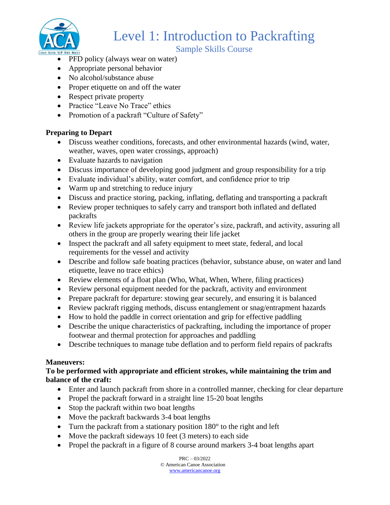

# Level 1: Introduction to Packrafting

#### Sample Skills Course

- PFD policy (always wear on water)
- Appropriate personal behavior
- No alcohol/substance abuse
- Proper etiquette on and off the water
- Respect private property
- Practice "Leave No Trace" ethics
- Promotion of a packraft "Culture of Safety"

#### **Preparing to Depart**

- Discuss weather conditions, forecasts, and other environmental hazards (wind, water, weather, waves, open water crossings, approach)
- Evaluate hazards to navigation
- Discuss importance of developing good judgment and group responsibility for a trip
- Evaluate individual's ability, water comfort, and confidence prior to trip
- Warm up and stretching to reduce injury
- Discuss and practice storing, packing, inflating, deflating and transporting a packraft
- Review proper techniques to safely carry and transport both inflated and deflated packrafts
- Review life jackets appropriate for the operator's size, packraft, and activity, assuring all others in the group are properly wearing their life jacket
- Inspect the packraft and all safety equipment to meet state, federal, and local requirements for the vessel and activity
- Describe and follow safe boating practices (behavior, substance abuse, on water and land etiquette, leave no trace ethics)
- Review elements of a float plan (Who, What, When, Where, filing practices)
- Review personal equipment needed for the packraft, activity and environment
- Prepare packraft for departure: stowing gear securely, and ensuring it is balanced
- Review packraft rigging methods, discuss entanglement or snag/entrapment hazards
- How to hold the paddle in correct orientation and grip for effective paddling
- Describe the unique characteristics of packrafting, including the importance of proper footwear and thermal protection for approaches and paddling
- Describe techniques to manage tube deflation and to perform field repairs of packrafts

#### **Maneuvers:**

#### **To be performed with appropriate and efficient strokes, while maintaining the trim and balance of the craft:**

- Enter and launch packraft from shore in a controlled manner, checking for clear departure
- Propel the packraft forward in a straight line 15-20 boat lengths
- Stop the packraft within two boat lengths
- Move the packraft backwards 3-4 boat lengths
- Turn the packraft from a stationary position 180° to the right and left
- Move the packraft sideways 10 feet (3 meters) to each side
- Propel the packraft in a figure of 8 course around markers 3-4 boat lengths apart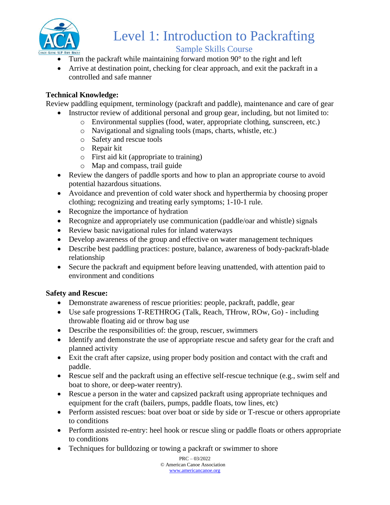

### Level 1: Introduction to Packrafting Sample Skills Course

- Turn the packraft while maintaining forward motion 90° to the right and left
- Arrive at destination point, checking for clear approach, and exit the packraft in a controlled and safe manner

#### **Technical Knowledge:**

Review paddling equipment, terminology (packraft and paddle), maintenance and care of gear

- Instructor review of additional personal and group gear, including, but not limited to:
	- o Environmental supplies (food, water, appropriate clothing, sunscreen, etc.)
	- o Navigational and signaling tools (maps, charts, whistle, etc.)
	- o Safety and rescue tools
	- o Repair kit
	- o First aid kit (appropriate to training)
	- o Map and compass, trail guide
- Review the dangers of paddle sports and how to plan an appropriate course to avoid potential hazardous situations.
- Avoidance and prevention of cold water shock and hyperthermia by choosing proper clothing; recognizing and treating early symptoms; 1-10-1 rule.
- Recognize the importance of hydration
- Recognize and appropriately use communication (paddle/oar and whistle) signals
- Review basic navigational rules for inland waterways
- Develop awareness of the group and effective on water management techniques
- Describe best paddling practices: posture, balance, awareness of body-packraft-blade relationship
- Secure the packraft and equipment before leaving unattended, with attention paid to environment and conditions

#### **Safety and Rescue:**

- Demonstrate awareness of rescue priorities: people, packraft, paddle, gear
- Use safe progressions T-RETHROG (Talk, Reach, THrow, ROw, Go) including throwable floating aid or throw bag use
- Describe the responsibilities of: the group, rescuer, swimmers
- Identify and demonstrate the use of appropriate rescue and safety gear for the craft and planned activity
- Exit the craft after capsize, using proper body position and contact with the craft and paddle.
- Rescue self and the packraft using an effective self-rescue technique (e.g., swim self and boat to shore, or deep-water reentry).
- Rescue a person in the water and capsized packraft using appropriate techniques and equipment for the craft (bailers, pumps, paddle floats, tow lines, etc)
- Perform assisted rescues: boat over boat or side by side or T-rescue or others appropriate to conditions
- Perform assisted re-entry: heel hook or rescue sling or paddle floats or others appropriate to conditions
- Techniques for bulldozing or towing a packraft or swimmer to shore